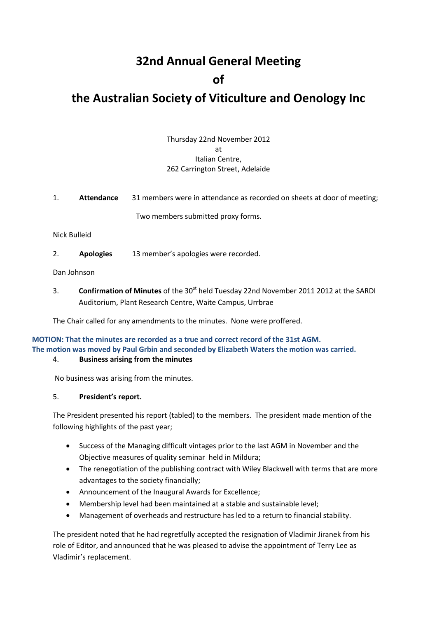# **32nd Annual General Meeting**

### **of**

## **the Australian Society of Viticulture and Oenology Inc**

Thursday 22nd November 2012 at Italian Centre, 262 Carrington Street, Adelaide

1. **Attendance** 31 members were in attendance as recorded on sheets at door of meeting;

Two members submitted proxy forms.

Nick Bulleid

2. **Apologies** 13 member's apologies were recorded.

Dan Johnson

3. **Confirmation of Minutes** of the 30<sup>st</sup> held Tuesday 22nd November 2011 2012 at the SARDI Auditorium, Plant Research Centre, Waite Campus, Urrbrae

The Chair called for any amendments to the minutes. None were proffered.

#### **MOTION: That the minutes are recorded as a true and correct record of the 31st AGM. The motion was moved by Paul Grbin and seconded by Elizabeth Waters the motion was carried.**

#### 4. **Business arising from the minutes**

No business was arising from the minutes.

#### 5. **President's report.**

The President presented his report (tabled) to the members. The president made mention of the following highlights of the past year;

- Success of the Managing difficult vintages prior to the last AGM in November and the Objective measures of quality seminar held in Mildura;
- The renegotiation of the publishing contract with Wiley Blackwell with terms that are more advantages to the society financially;
- Announcement of the Inaugural Awards for Excellence;
- Membership level had been maintained at a stable and sustainable level;
- Management of overheads and restructure has led to a return to financial stability.

The president noted that he had regretfully accepted the resignation of Vladimir Jiranek from his role of Editor, and announced that he was pleased to advise the appointment of Terry Lee as Vladimir's replacement.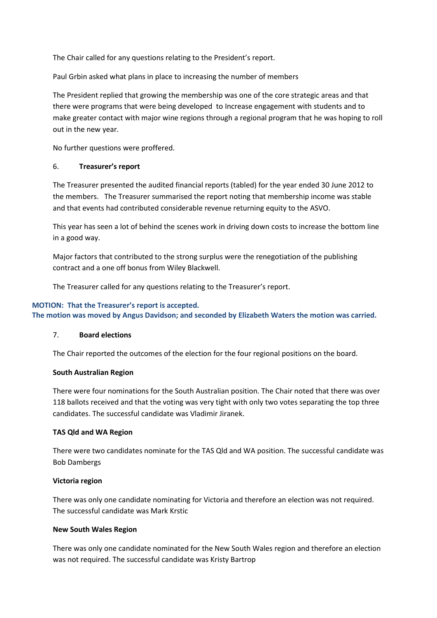The Chair called for any questions relating to the President's report.

Paul Grbin asked what plans in place to increasing the number of members

The President replied that growing the membership was one of the core strategic areas and that there were programs that were being developed to Increase engagement with students and to make greater contact with major wine regions through a regional program that he was hoping to roll out in the new year.

No further questions were proffered.

#### 6. **Treasurer's report**

The Treasurer presented the audited financial reports (tabled) for the year ended 30 June 2012 to the members. The Treasurer summarised the report noting that membership income was stable and that events had contributed considerable revenue returning equity to the ASVO.

This year has seen a lot of behind the scenes work in driving down costs to increase the bottom line in a good way.

Major factors that contributed to the strong surplus were the renegotiation of the publishing contract and a one off bonus from Wiley Blackwell.

The Treasurer called for any questions relating to the Treasurer's report.

#### **MOTION: That the Treasurer's report is accepted.**

**The motion was moved by Angus Davidson; and seconded by Elizabeth Waters the motion was carried.**

#### 7. **Board elections**

The Chair reported the outcomes of the election for the four regional positions on the board.

#### **South Australian Region**

There were four nominations for the South Australian position. The Chair noted that there was over 118 ballots received and that the voting was very tight with only two votes separating the top three candidates. The successful candidate was Vladimir Jiranek.

#### **TAS Qld and WA Region**

There were two candidates nominate for the TAS Qld and WA position. The successful candidate was Bob Dambergs

#### **Victoria region**

There was only one candidate nominating for Victoria and therefore an election was not required. The successful candidate was Mark Krstic

#### **New South Wales Region**

There was only one candidate nominated for the New South Wales region and therefore an election was not required. The successful candidate was Kristy Bartrop